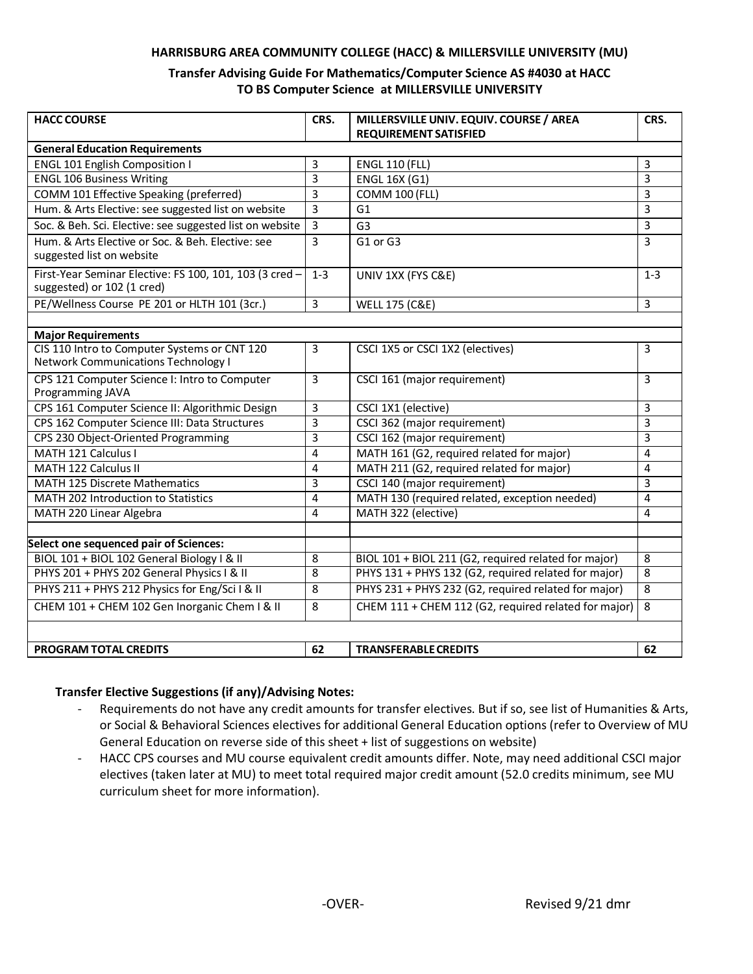#### **HARRISBURG AREA COMMUNITY COLLEGE (HACC) & MILLERSVILLE UNIVERSITY (MU)**

### **Transfer Advising Guide For Mathematics/Computer Science AS #4030 at HACC TO BS Computer Science at MILLERSVILLE UNIVERSITY**

| <b>HACC COURSE</b>                                                                         | CRS.                    | MILLERSVILLE UNIV. EQUIV. COURSE / AREA              | CRS.           |
|--------------------------------------------------------------------------------------------|-------------------------|------------------------------------------------------|----------------|
|                                                                                            |                         | <b>REQUIREMENT SATISFIED</b>                         |                |
| <b>General Education Requirements</b>                                                      |                         |                                                      |                |
| <b>ENGL 101 English Composition I</b>                                                      | 3                       | <b>ENGL 110 (FLL)</b>                                | 3              |
| <b>ENGL 106 Business Writing</b>                                                           | 3                       | <b>ENGL 16X (G1)</b>                                 | 3              |
| COMM 101 Effective Speaking (preferred)                                                    | 3                       | <b>COMM 100 (FLL)</b>                                | 3              |
| Hum. & Arts Elective: see suggested list on website                                        | 3                       | G1                                                   | $\overline{3}$ |
| Soc. & Beh. Sci. Elective: see suggested list on website                                   | 3                       | G <sub>3</sub>                                       | 3              |
| Hum. & Arts Elective or Soc. & Beh. Elective: see<br>suggested list on website             | $\overline{3}$          | G1 or G3                                             | $\overline{3}$ |
| First-Year Seminar Elective: FS 100, 101, 103 (3 cred -<br>suggested) or 102 (1 cred)      | $1 - 3$                 | UNIV 1XX (FYS C&E)                                   | $1 - 3$        |
| PE/Wellness Course PE 201 or HLTH 101 (3cr.)                                               | 3                       | <b>WELL 175 (C&amp;E)</b>                            | $\overline{3}$ |
|                                                                                            |                         |                                                      |                |
| <b>Major Requirements</b>                                                                  |                         |                                                      |                |
| CIS 110 Intro to Computer Systems or CNT 120<br><b>Network Communications Technology I</b> | 3                       | CSCI 1X5 or CSCI 1X2 (electives)                     | 3              |
| CPS 121 Computer Science I: Intro to Computer<br>Programming JAVA                          | $\overline{3}$          | CSCI 161 (major requirement)                         | 3              |
| CPS 161 Computer Science II: Algorithmic Design                                            | 3                       | CSCI 1X1 (elective)                                  | 3              |
| CPS 162 Computer Science III: Data Structures                                              | $\overline{\mathbf{3}}$ | CSCI 362 (major requirement)                         | 3              |
| CPS 230 Object-Oriented Programming                                                        | 3                       | CSCI 162 (major requirement)                         | 3              |
| MATH 121 Calculus I                                                                        | 4                       | MATH 161 (G2, required related for major)            | 4              |
| MATH 122 Calculus II                                                                       | 4                       | MATH 211 (G2, required related for major)            | 4              |
| <b>MATH 125 Discrete Mathematics</b>                                                       | 3                       | CSCI 140 (major requirement)                         | 3              |
| <b>MATH 202 Introduction to Statistics</b>                                                 | 4                       | MATH 130 (required related, exception needed)        | $\overline{4}$ |
| MATH 220 Linear Algebra                                                                    | 4                       | MATH 322 (elective)                                  | 4              |
|                                                                                            |                         |                                                      |                |
| Select one sequenced pair of Sciences:                                                     |                         |                                                      |                |
| BIOL 101 + BIOL 102 General Biology   & II                                                 | 8                       | BIOL 101 + BIOL 211 (G2, required related for major) | 8              |
| PHYS 201 + PHYS 202 General Physics I & II                                                 | 8                       | PHYS 131 + PHYS 132 (G2, required related for major) | 8              |
| PHYS 211 + PHYS 212 Physics for Eng/Sci I & II                                             | 8                       | PHYS 231 + PHYS 232 (G2, required related for major) | 8              |
| CHEM 101 + CHEM 102 Gen Inorganic Chem I & II                                              | 8                       | CHEM 111 + CHEM 112 (G2, required related for major) | 8              |
|                                                                                            |                         |                                                      |                |
| <b>PROGRAM TOTAL CREDITS</b>                                                               | 62                      | <b>TRANSFERABLE CREDITS</b>                          | 62             |

#### **Transfer Elective Suggestions (if any)/Advising Notes:**

- Requirements do not have any credit amounts for transfer electives. But if so, see list of Humanities & Arts, or Social & Behavioral Sciences electives for additional General Education options (refer to Overview of MU General Education on reverse side of this sheet + list of suggestions on website)
- HACC CPS courses and MU course equivalent credit amounts differ. Note, may need additional CSCI major electives (taken later at MU) to meet total required major credit amount (52.0 credits minimum, see MU curriculum sheet for more information).